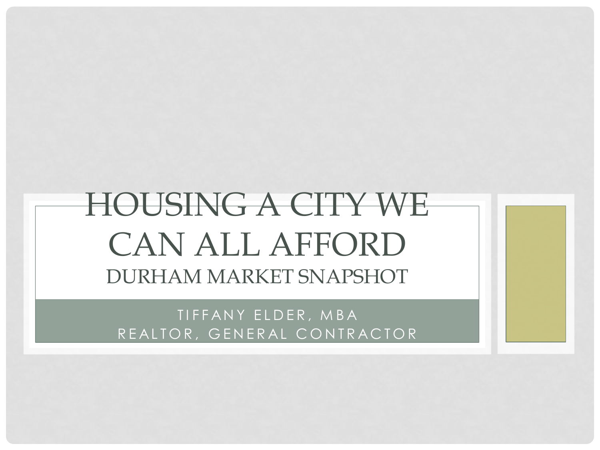# HOUSING A CITY WE CAN ALL AFFORD DURHAM MARKET SNAPSHOT

TIFFANY ELDER, MBA REALTOR, GENERAL CONTRACTOR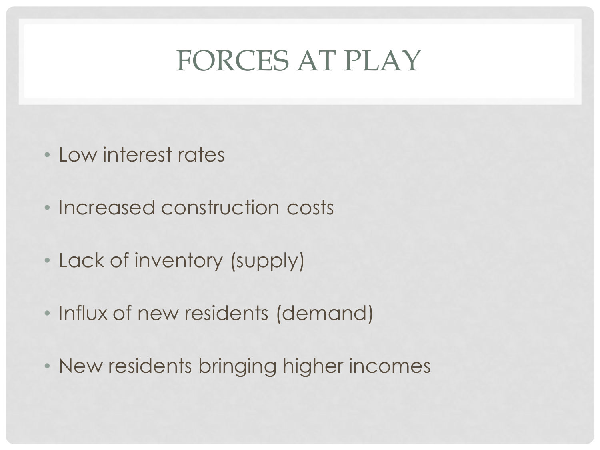#### FORCES AT PLAY

- Low interest rates
- Increased construction costs
- Lack of inventory (supply)
- Influx of new residents (demand)
- New residents bringing higher incomes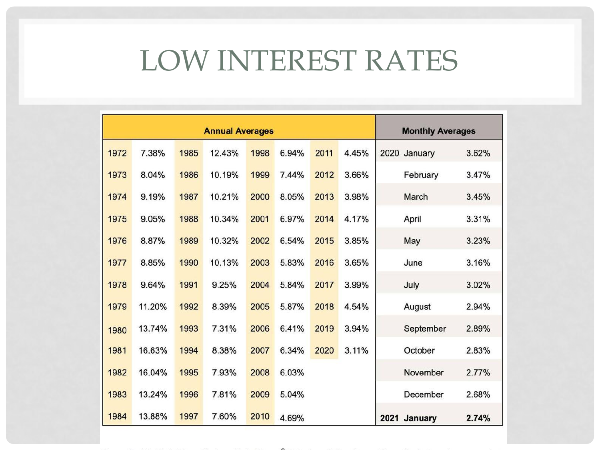# LOW INTEREST RATES

| <b>Annual Averages</b> |        |      |        |      |       |      |       | <b>Monthly Averages</b> |       |
|------------------------|--------|------|--------|------|-------|------|-------|-------------------------|-------|
| 1972                   | 7.38%  | 1985 | 12.43% | 1998 | 6.94% | 2011 | 4.45% | 2020 January            | 3.62% |
| 1973                   | 8.04%  | 1986 | 10.19% | 1999 | 7.44% | 2012 | 3.66% | February                | 3.47% |
| 1974                   | 9.19%  | 1987 | 10.21% | 2000 | 8.05% | 2013 | 3.98% | March                   | 3.45% |
| 1975                   | 9.05%  | 1988 | 10.34% | 2001 | 6.97% | 2014 | 4.17% | April                   | 3.31% |
| 1976                   | 8.87%  | 1989 | 10.32% | 2002 | 6.54% | 2015 | 3.85% | May                     | 3.23% |
| 1977                   | 8.85%  | 1990 | 10.13% | 2003 | 5.83% | 2016 | 3.65% | June                    | 3.16% |
| 1978                   | 9.64%  | 1991 | 9.25%  | 2004 | 5.84% | 2017 | 3.99% | July                    | 3.02% |
| 1979                   | 11.20% | 1992 | 8.39%  | 2005 | 5.87% | 2018 | 4.54% | August                  | 2.94% |
| 1980                   | 13.74% | 1993 | 7.31%  | 2006 | 6.41% | 2019 | 3.94% | September               | 2.89% |
| 1981                   | 16.63% | 1994 | 8.38%  | 2007 | 6.34% | 2020 | 3.11% | October                 | 2.83% |
| 1982                   | 16.04% | 1995 | 7.93%  | 2008 | 6.03% |      |       | November                | 2.77% |
| 1983                   | 13.24% | 1996 | 7.81%  | 2009 | 5.04% |      |       | December                | 2.68% |
| 1984                   | 13.88% | 1997 | 7.60%  | 2010 | 4.69% |      |       | 2021 January            | 2.74% |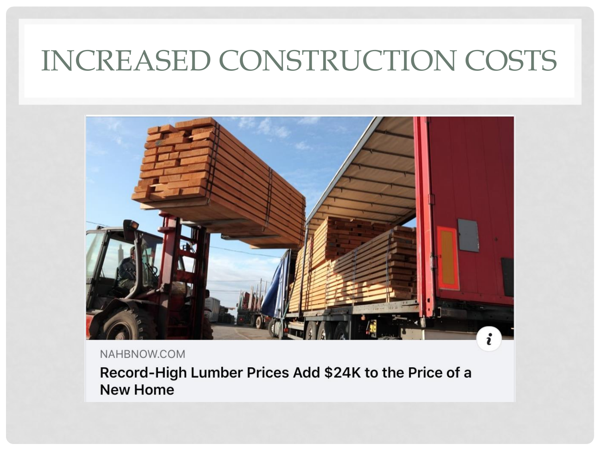## INCREASED CONSTRUCTION COSTS



NAHBNOW.COM

Record-High Lumber Prices Add \$24K to the Price of a **New Home**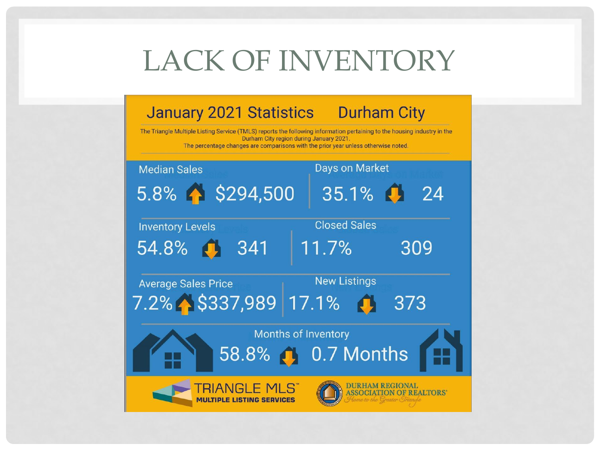## LACK OF INVENTORY

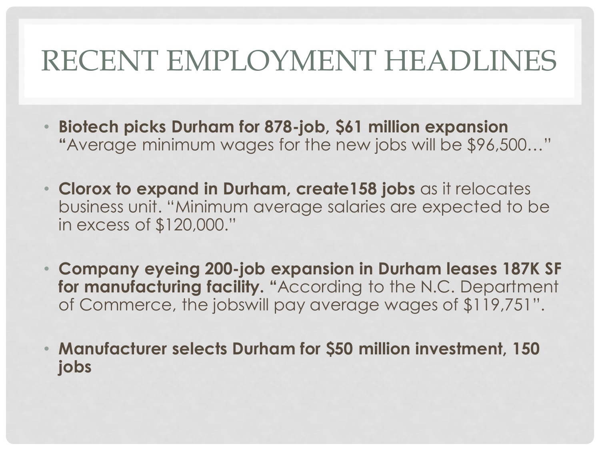## RECENT EMPLOYMENT HEADLINES

- **Biotech picks Durham for 878-job, \$61 million expansion "**Average minimum wages for the new jobs will be \$96,500…"
- **Clorox to expand in Durham, create158 jobs** as it relocates business unit. "Minimum average salaries are expected to be in excess of \$120,000."
- **Company eyeing 200-job expansion in Durham leases 187K SF for manufacturing facility. "**According to the N.C. Department of Commerce, the jobswill pay average wages of \$119,751".
- **Manufacturer selects Durham for \$50 million investment, 150 jobs**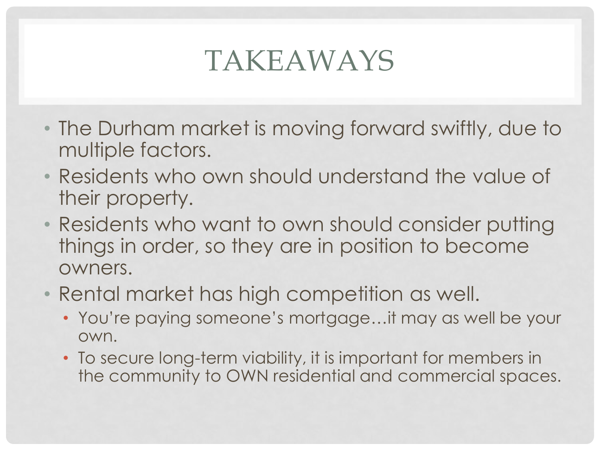## TAKEAWAYS

- The Durham market is moving forward swiftly, due to multiple factors.
- Residents who own should understand the value of their property.
- Residents who want to own should consider putting things in order, so they are in position to become owners.
- Rental market has high competition as well.
	- You're paying someone's mortgage…it may as well be your own.
	- To secure long-term viability, it is important for members in the community to OWN residential and commercial spaces.